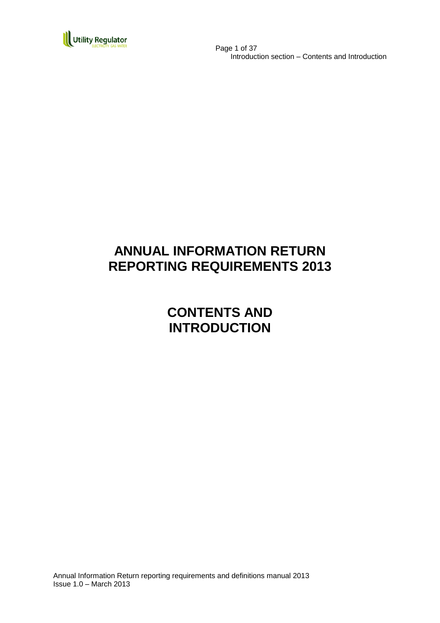

 Page 1 of 37 Introduction section – Contents and Introduction

# **ANNUAL INFORMATION RETURN REPORTING REQUIREMENTS 2013**

# **CONTENTS AND INTRODUCTION**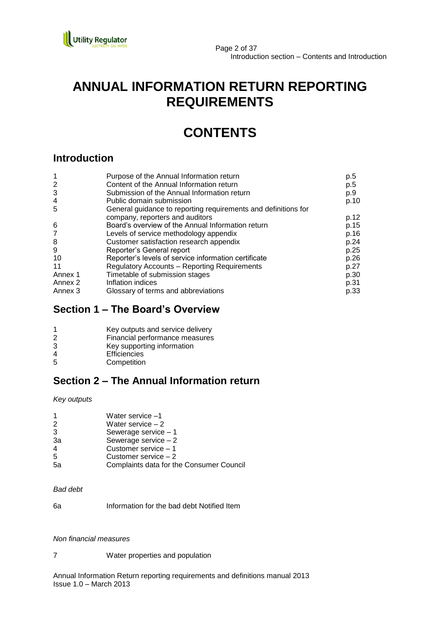

## **ANNUAL INFORMATION RETURN REPORTING REQUIREMENTS**

# **CONTENTS**

## **Introduction**

|         | Purpose of the Annual Information return                       | p.5  |
|---------|----------------------------------------------------------------|------|
| 2       | Content of the Annual Information return                       | p.5  |
| 3       | Submission of the Annual Information return                    | p.9  |
| 4       | Public domain submission                                       | p.10 |
| 5       | General guidance to reporting requirements and definitions for |      |
|         | company, reporters and auditors                                | p.12 |
| 6       | Board's overview of the Annual Information return              | p.15 |
| 7       | Levels of service methodology appendix                         | p.16 |
| 8       | Customer satisfaction research appendix                        | p.24 |
| 9       | Reporter's General report                                      | p.25 |
| 10      | Reporter's levels of service information certificate           | p.26 |
| 11      | <b>Regulatory Accounts - Reporting Requirements</b>            | p.27 |
| Annex 1 | Timetable of submission stages                                 | p.30 |
| Annex 2 | Inflation indices                                              | p.31 |
| Annex 3 | Glossary of terms and abbreviations                            | p.33 |
|         |                                                                |      |

## **Section 1 – The Board's Overview**

| $\overline{1}$ | Key outputs and service delivery |
|----------------|----------------------------------|
| 2              | Financial performance measures   |
| 3              | Key supporting information       |
| 4              | <b>Efficiencies</b>              |
| 5              | Competition                      |

## **Section 2 – The Annual Information return**

*Key outputs*

| 1<br>2 | Water service -1<br>Water service $-2$   |
|--------|------------------------------------------|
| 3      | Sewerage service - 1                     |
| 3a     | Sewerage service $-2$                    |
| 4      | Customer service - 1                     |
| 5      | Customer service $-2$                    |
| 5a     | Complaints data for the Consumer Council |
|        |                                          |

#### *Bad debt*

6a Information for the bad debt Notified Item

#### *Non financial measures*

7 Water properties and population

Annual Information Return reporting requirements and definitions manual 2013 Issue 1.0 – March 2013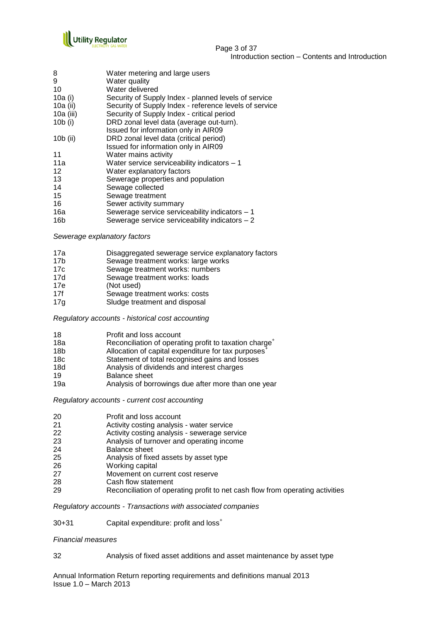

#### Page 3 of 37 Introduction section – Contents and Introduction

- 8 Water metering and large users 9 Water quality 10 Water delivered 10a (i) Security of Supply Index - planned levels of service 10a (ii) Security of Supply Index - reference levels of service 10a (iii) Security of Supply Index - critical period 10b (i) DRD zonal level data (average out-turn). Issued for information only in AIR09 10b (ii) DRD zonal level data (critical period) Issued for information only in AIR09 11 Water mains activity 11a Water service serviceability indicators – 1 12 Water explanatory factors 13 Sewerage properties and population 14 Sewage collected 15 Sewage treatment 16 Sewer activity summary 16a Sewerage service serviceability indicators – 1
- 16b Sewerage service serviceability indicators 2

*Sewerage explanatory factors*

- 17a Disaggregated sewerage service explanatory factors
- 17b Sewage treatment works: large works
- 17c Sewage treatment works: numbers
- 17d Sewage treatment works: loads
- 17e (Not used)
- 17f Sewage treatment works: costs
- 17g Sludge treatment and disposal

*Regulatory accounts - historical cost accounting*

| 18 | Profit and loss account |  |
|----|-------------------------|--|
|    |                         |  |

- 18a Reconciliation of operating profit to taxation charge<sup>+</sup>
- 18b Allocation of capital expenditure for tax purposes<br>18c Statement of total recognised gains and losses
- Statement of total recognised gains and losses
- 18d Analysis of dividends and interest charges
- 19 Balance sheet
- 19a Analysis of borrowings due after more than one year

*Regulatory accounts - current cost accounting*

| 20 | Profit and loss account |
|----|-------------------------|
|    |                         |

- 21 **21** Activity costing analysis water service<br>22 **Activity costing analysis sewerage service**
- Activity costing analysis sewerage service
- 23 Analysis of turnover and operating income
- 24 Balance sheet<br>25 Analysis of fixe
- Analysis of fixed assets by asset type
- 26 Working capital
- 27 Movement on current cost reserve
- 28 Cash flow statement
- 29 Reconciliation of operating profit to net cash flow from operating activities

*Regulatory accounts - Transactions with associated companies*

#### 30+31 Capital expenditure: profit and loss<sup>+</sup>

#### *Financial measures*

32 Analysis of fixed asset additions and asset maintenance by asset type

Annual Information Return reporting requirements and definitions manual 2013 Issue 1.0 – March 2013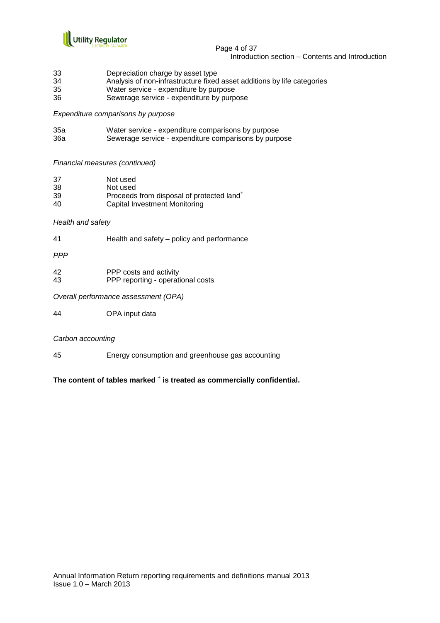

#### Page 4 of 37 Introduction section – Contents and Introduction

- 33 Depreciation charge by asset type
- 34 Analysis of non-infrastructure fixed asset additions by life categories
- 35 Water service expenditure by purpose<br>36 Sewerage service expenditure by purp
- Sewerage service expenditure by purpose

*Expenditure comparisons by purpose*

| 35a | Water service - expenditure comparisons by purpose    |
|-----|-------------------------------------------------------|
| 36a | Sewerage service - expenditure comparisons by purpose |

*Financial measures (continued)*

| 37 | Not used                                              |
|----|-------------------------------------------------------|
| 38 | Not used                                              |
| 39 | Proceeds from disposal of protected land <sup>+</sup> |
| 40 | <b>Capital Investment Monitoring</b>                  |

*Health and safety*

41 Health and safety – policy and performance

*PPP*

42 PPP costs and activity 43 PPP reporting - operational costs

*Overall performance assessment (OPA)*

44 OPA input data

*Carbon accounting*

45 Energy consumption and greenhouse gas accounting

**The content of tables marked <sup>+</sup> is treated as commercially confidential.**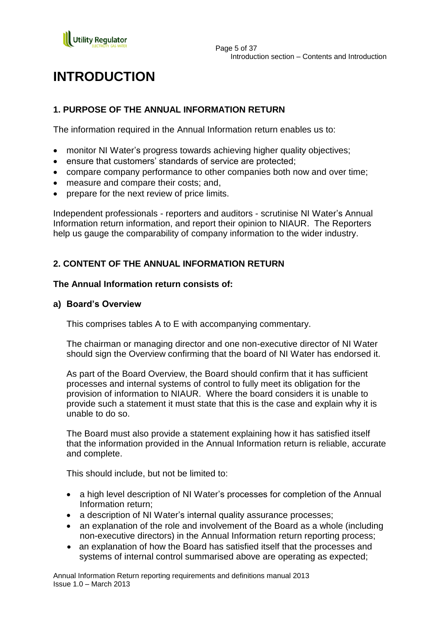

# **INTRODUCTION**

## **1. PURPOSE OF THE ANNUAL INFORMATION RETURN**

The information required in the Annual Information return enables us to:

- monitor NI Water's progress towards achieving higher quality objectives;
- ensure that customers" standards of service are protected;
- compare company performance to other companies both now and over time;
- measure and compare their costs; and,
- prepare for the next review of price limits.

Independent professionals - reporters and auditors - scrutinise NI Water"s Annual Information return information, and report their opinion to NIAUR. The Reporters help us gauge the comparability of company information to the wider industry.

## **2. CONTENT OF THE ANNUAL INFORMATION RETURN**

## **The Annual Information return consists of:**

## **a) Board's Overview**

This comprises tables A to E with accompanying commentary.

The chairman or managing director and one non-executive director of NI Water should sign the Overview confirming that the board of NI Water has endorsed it.

As part of the Board Overview, the Board should confirm that it has sufficient processes and internal systems of control to fully meet its obligation for the provision of information to NIAUR. Where the board considers it is unable to provide such a statement it must state that this is the case and explain why it is unable to do so.

The Board must also provide a statement explaining how it has satisfied itself that the information provided in the Annual Information return is reliable, accurate and complete.

This should include, but not be limited to:

- a high level description of NI Water's processes for completion of the Annual Information return;
- a description of NI Water"s internal quality assurance processes;
- an explanation of the role and involvement of the Board as a whole (including non-executive directors) in the Annual Information return reporting process;
- an explanation of how the Board has satisfied itself that the processes and systems of internal control summarised above are operating as expected;

Annual Information Return reporting requirements and definitions manual 2013 Issue 1.0 – March 2013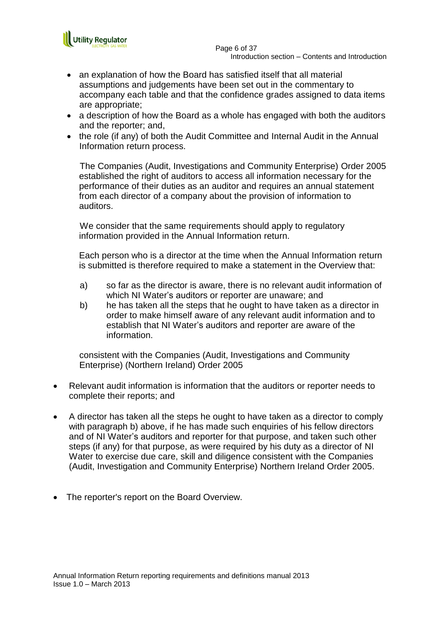

- an explanation of how the Board has satisfied itself that all material assumptions and judgements have been set out in the commentary to accompany each table and that the confidence grades assigned to data items are appropriate;
- a description of how the Board as a whole has engaged with both the auditors and the reporter; and,
- the role (if any) of both the Audit Committee and Internal Audit in the Annual Information return process.

The Companies (Audit, Investigations and Community Enterprise) Order 2005 established the right of auditors to access all information necessary for the performance of their duties as an auditor and requires an annual statement from each director of a company about the provision of information to auditors.

We consider that the same requirements should apply to regulatory information provided in the Annual Information return.

Each person who is a director at the time when the Annual Information return is submitted is therefore required to make a statement in the Overview that:

- a) so far as the director is aware, there is no relevant audit information of which NI Water's auditors or reporter are unaware; and
- b) he has taken all the steps that he ought to have taken as a director in order to make himself aware of any relevant audit information and to establish that NI Water"s auditors and reporter are aware of the information.

consistent with the Companies (Audit, Investigations and Community Enterprise) (Northern Ireland) Order 2005

- Relevant audit information is information that the auditors or reporter needs to complete their reports; and
- A director has taken all the steps he ought to have taken as a director to comply with paragraph b) above, if he has made such enquiries of his fellow directors and of NI Water"s auditors and reporter for that purpose, and taken such other steps (if any) for that purpose, as were required by his duty as a director of NI Water to exercise due care, skill and diligence consistent with the Companies (Audit, Investigation and Community Enterprise) Northern Ireland Order 2005.
- The reporter's report on the Board Overview.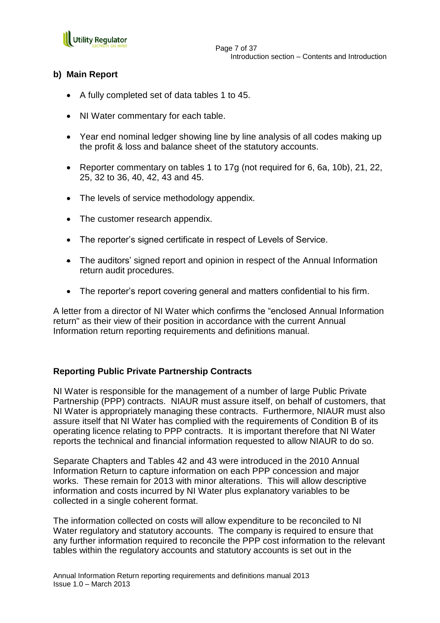

## **b) Main Report**

- A fully completed set of data tables 1 to 45.
- NI Water commentary for each table.
- Year end nominal ledger showing line by line analysis of all codes making up the profit & loss and balance sheet of the statutory accounts.
- Reporter commentary on tables 1 to 17g (not required for 6, 6a, 10b), 21, 22, 25, 32 to 36, 40, 42, 43 and 45.
- The levels of service methodology appendix.
- The customer research appendix.
- The reporter's signed certificate in respect of Levels of Service.
- The auditors' signed report and opinion in respect of the Annual Information return audit procedures.
- The reporter's report covering general and matters confidential to his firm.

A letter from a director of NI Water which confirms the "enclosed Annual Information return" as their view of their position in accordance with the current Annual Information return reporting requirements and definitions manual.

## **Reporting Public Private Partnership Contracts**

NI Water is responsible for the management of a number of large Public Private Partnership (PPP) contracts. NIAUR must assure itself, on behalf of customers, that NI Water is appropriately managing these contracts. Furthermore, NIAUR must also assure itself that NI Water has complied with the requirements of Condition B of its operating licence relating to PPP contracts. It is important therefore that NI Water reports the technical and financial information requested to allow NIAUR to do so.

Separate Chapters and Tables 42 and 43 were introduced in the 2010 Annual Information Return to capture information on each PPP concession and major works. These remain for 2013 with minor alterations. This will allow descriptive information and costs incurred by NI Water plus explanatory variables to be collected in a single coherent format.

The information collected on costs will allow expenditure to be reconciled to NI Water regulatory and statutory accounts. The company is required to ensure that any further information required to reconcile the PPP cost information to the relevant tables within the regulatory accounts and statutory accounts is set out in the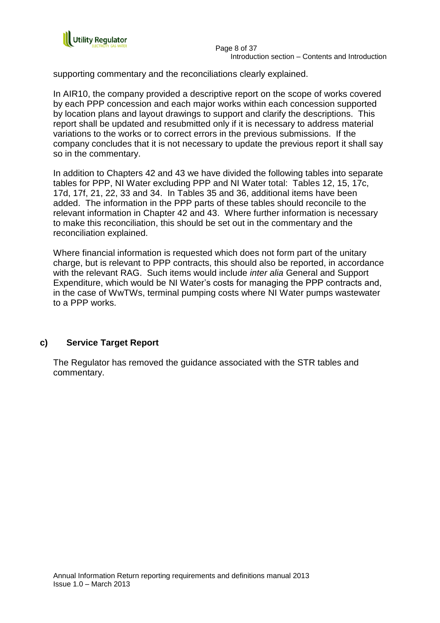

supporting commentary and the reconciliations clearly explained.

In AIR10, the company provided a descriptive report on the scope of works covered by each PPP concession and each major works within each concession supported by location plans and layout drawings to support and clarify the descriptions. This report shall be updated and resubmitted only if it is necessary to address material variations to the works or to correct errors in the previous submissions. If the company concludes that it is not necessary to update the previous report it shall say so in the commentary.

In addition to Chapters 42 and 43 we have divided the following tables into separate tables for PPP, NI Water excluding PPP and NI Water total: Tables 12, 15, 17c, 17d, 17f, 21, 22, 33 and 34. In Tables 35 and 36, additional items have been added. The information in the PPP parts of these tables should reconcile to the relevant information in Chapter 42 and 43. Where further information is necessary to make this reconciliation, this should be set out in the commentary and the reconciliation explained.

Where financial information is requested which does not form part of the unitary charge, but is relevant to PPP contracts, this should also be reported, in accordance with the relevant RAG. Such items would include *inter alia* General and Support Expenditure, which would be NI Water"s costs for managing the PPP contracts and, in the case of WwTWs, terminal pumping costs where NI Water pumps wastewater to a PPP works.

## **c) Service Target Report**

The Regulator has removed the guidance associated with the STR tables and commentary.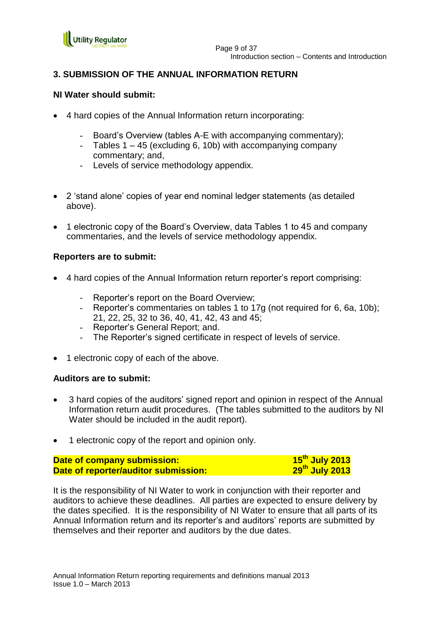

## **3. SUBMISSION OF THE ANNUAL INFORMATION RETURN**

## **NI Water should submit:**

- 4 hard copies of the Annual Information return incorporating:
	- Board's Overview (tables A-E with accompanying commentary);
	- Tables 1 45 (excluding 6, 10b) with accompanying company commentary; and,
	- Levels of service methodology appendix.
- 2 "stand alone" copies of year end nominal ledger statements (as detailed above).
- 1 electronic copy of the Board's Overview, data Tables 1 to 45 and company commentaries, and the levels of service methodology appendix.

## **Reporters are to submit:**

- 4 hard copies of the Annual Information return reporter"s report comprising:
	- Reporter's report on the Board Overview;
	- Reporter"s commentaries on tables 1 to 17g (not required for 6, 6a, 10b); 21, 22, 25, 32 to 36, 40, 41, 42, 43 and 45;
	- Reporter"s General Report; and.
	- The Reporter"s signed certificate in respect of levels of service.
- 1 electronic copy of each of the above.

### **Auditors are to submit:**

- 3 hard copies of the auditors' signed report and opinion in respect of the Annual Information return audit procedures. (The tables submitted to the auditors by NI Water should be included in the audit report).
- 1 electronic copy of the report and opinion only.

| Date of company submission:          | 15 <sup>th</sup> July 2013 |
|--------------------------------------|----------------------------|
| Date of reporter/auditor submission: | 29 <sup>th</sup> July 2013 |

It is the responsibility of NI Water to work in conjunction with their reporter and auditors to achieve these deadlines. All parties are expected to ensure delivery by the dates specified. It is the responsibility of NI Water to ensure that all parts of its Annual Information return and its reporter"s and auditors" reports are submitted by themselves and their reporter and auditors by the due dates.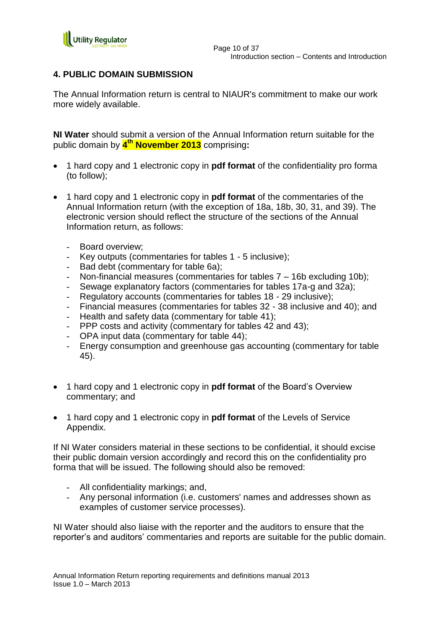## **4. PUBLIC DOMAIN SUBMISSION**

The Annual Information return is central to NIAUR's commitment to make our work more widely available.

**NI Water** should submit a version of the Annual Information return suitable for the public domain by **4 th November 2013** comprising**:**

- 1 hard copy and 1 electronic copy in **pdf format** of the confidentiality pro forma (to follow);
- 1 hard copy and 1 electronic copy in **pdf format** of the commentaries of the Annual Information return (with the exception of 18a, 18b, 30, 31, and 39). The electronic version should reflect the structure of the sections of the Annual Information return, as follows:
	- Board overview;
	- Key outputs (commentaries for tables 1 5 inclusive);
	- Bad debt (commentary for table 6a);
	- Non-financial measures (commentaries for tables 7 16b excluding 10b);
	- Sewage explanatory factors (commentaries for tables 17a-g and 32a);
	- Regulatory accounts (commentaries for tables 18 29 inclusive);
	- Financial measures (commentaries for tables 32 38 inclusive and 40); and
	- Health and safety data (commentary for table 41);
	- PPP costs and activity (commentary for tables 42 and 43);
	- OPA input data (commentary for table 44);
	- Energy consumption and greenhouse gas accounting (commentary for table 45).
- 1 hard copy and 1 electronic copy in **pdf format** of the Board"s Overview commentary; and
- 1 hard copy and 1 electronic copy in **pdf format** of the Levels of Service Appendix.

If NI Water considers material in these sections to be confidential, it should excise their public domain version accordingly and record this on the confidentiality pro forma that will be issued. The following should also be removed:

- All confidentiality markings; and,
- Any personal information (i.e. customers' names and addresses shown as examples of customer service processes).

NI Water should also liaise with the reporter and the auditors to ensure that the reporter"s and auditors" commentaries and reports are suitable for the public domain.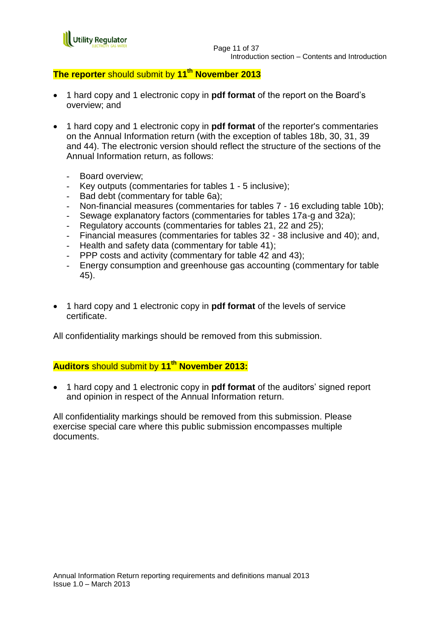

### **The reporter** should submit by **11th November 2013**

- 1 hard copy and 1 electronic copy in **pdf format** of the report on the Board"s overview; and
- 1 hard copy and 1 electronic copy in **pdf format** of the reporter's commentaries on the Annual Information return (with the exception of tables 18b, 30, 31, 39 and 44). The electronic version should reflect the structure of the sections of the Annual Information return, as follows:
	- Board overview;
	- Key outputs (commentaries for tables 1 5 inclusive);
	- Bad debt (commentary for table 6a);
	- Non-financial measures (commentaries for tables 7 16 excluding table 10b);
	- Sewage explanatory factors (commentaries for tables 17a-g and 32a);
	- Regulatory accounts (commentaries for tables 21, 22 and 25);
	- Financial measures (commentaries for tables 32 38 inclusive and 40); and,
	- Health and safety data (commentary for table 41);
	- PPP costs and activity (commentary for table 42 and 43);
	- Energy consumption and greenhouse gas accounting (commentary for table 45).
- 1 hard copy and 1 electronic copy in **pdf format** of the levels of service certificate.

All confidentiality markings should be removed from this submission.

## **Auditors** should submit by **11th November 2013:**

 1 hard copy and 1 electronic copy in **pdf format** of the auditors" signed report and opinion in respect of the Annual Information return.

All confidentiality markings should be removed from this submission. Please exercise special care where this public submission encompasses multiple documents.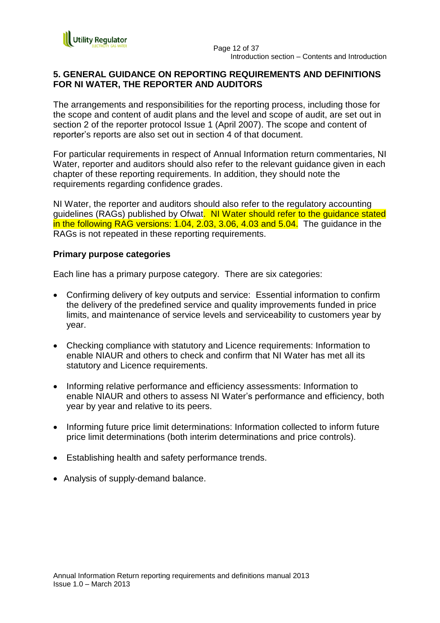

## **5. GENERAL GUIDANCE ON REPORTING REQUIREMENTS AND DEFINITIONS FOR NI WATER, THE REPORTER AND AUDITORS**

The arrangements and responsibilities for the reporting process, including those for the scope and content of audit plans and the level and scope of audit, are set out in section 2 of the reporter protocol Issue 1 (April 2007). The scope and content of reporter"s reports are also set out in section 4 of that document.

For particular requirements in respect of Annual Information return commentaries, NI Water, reporter and auditors should also refer to the relevant guidance given in each chapter of these reporting requirements. In addition, they should note the requirements regarding confidence grades.

NI Water, the reporter and auditors should also refer to the regulatory accounting guidelines (RAGs) published by Ofwat. NI Water should refer to the guidance stated in the following RAG versions: 1.04, 2.03, 3.06, 4.03 and 5.04. The guidance in the RAGs is not repeated in these reporting requirements.

## **Primary purpose categories**

Each line has a primary purpose category. There are six categories:

- Confirming delivery of key outputs and service: Essential information to confirm the delivery of the predefined service and quality improvements funded in price limits, and maintenance of service levels and serviceability to customers year by year.
- Checking compliance with statutory and Licence requirements: Information to enable NIAUR and others to check and confirm that NI Water has met all its statutory and Licence requirements.
- Informing relative performance and efficiency assessments: Information to enable NIAUR and others to assess NI Water"s performance and efficiency, both year by year and relative to its peers.
- Informing future price limit determinations: Information collected to inform future price limit determinations (both interim determinations and price controls).
- Establishing health and safety performance trends.
- Analysis of supply-demand balance.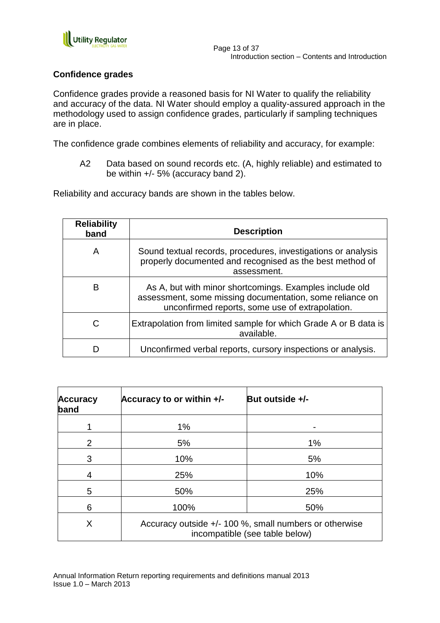

## **Confidence grades**

Confidence grades provide a reasoned basis for NI Water to qualify the reliability and accuracy of the data. NI Water should employ a quality-assured approach in the methodology used to assign confidence grades, particularly if sampling techniques are in place.

The confidence grade combines elements of reliability and accuracy, for example:

A2 Data based on sound records etc. (A, highly reliable) and estimated to be within +/- 5% (accuracy band 2).

Reliability and accuracy bands are shown in the tables below.

| <b>Reliability</b><br>band | <b>Description</b>                                                                                                                                                     |
|----------------------------|------------------------------------------------------------------------------------------------------------------------------------------------------------------------|
| A                          | Sound textual records, procedures, investigations or analysis<br>properly documented and recognised as the best method of<br>assessment.                               |
| в                          | As A, but with minor shortcomings. Examples include old<br>assessment, some missing documentation, some reliance on<br>unconfirmed reports, some use of extrapolation. |
|                            | Extrapolation from limited sample for which Grade A or B data is<br>available.                                                                                         |
|                            | Unconfirmed verbal reports, cursory inspections or analysis.                                                                                                           |

| <b>Accuracy</b><br>band | Accuracy to or within +/- | But outside $+/-$                                                                          |  |  |
|-------------------------|---------------------------|--------------------------------------------------------------------------------------------|--|--|
|                         | $1\%$                     |                                                                                            |  |  |
| $\overline{2}$          | 5%                        | $1\%$                                                                                      |  |  |
| 3                       | 10%                       | 5%                                                                                         |  |  |
| 4                       | 25%                       | 10%                                                                                        |  |  |
| 5                       | 50%                       | 25%                                                                                        |  |  |
| 6                       | 100%                      | 50%                                                                                        |  |  |
| X                       |                           | Accuracy outside $+/-$ 100 %, small numbers or otherwise<br>incompatible (see table below) |  |  |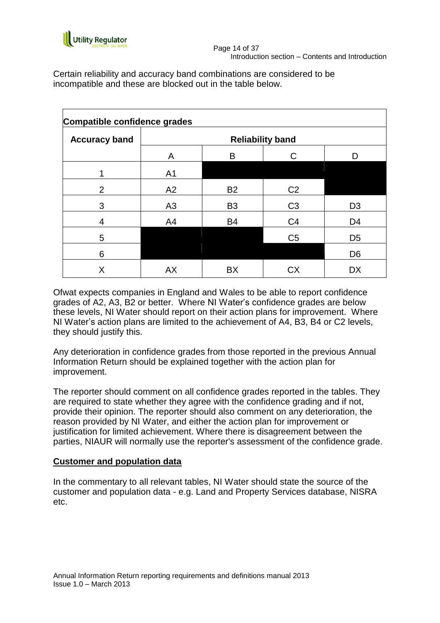

| Compatible confidence grades |                         |                |                |                |
|------------------------------|-------------------------|----------------|----------------|----------------|
| <b>Accuracy band</b>         | <b>Reliability band</b> |                |                |                |
|                              | A                       | B              | C.             |                |
|                              | A <sub>1</sub>          |                |                |                |
| 2                            | A2                      | <b>B2</b>      | C <sub>2</sub> |                |
| 3                            | A3                      | B <sub>3</sub> | C <sub>3</sub> | D <sub>3</sub> |
| 4                            | A4                      | <b>B4</b>      | C <sub>4</sub> | D <sub>4</sub> |
| 5                            |                         |                | C <sub>5</sub> | D <sub>5</sub> |
| 6                            |                         |                |                | D <sub>6</sub> |
| X                            | AX                      | BX             | СX             | <b>DX</b>      |

Certain reliability and accuracy band combinations are considered to be incompatible and these are blocked out in the table below.

Ofwat expects companies in England and Wales to be able to report confidence grades of A2, A3, B2 or better. Where NI Water"s confidence grades are below these levels, NI Water should report on their action plans for improvement. Where NI Water"s action plans are limited to the achievement of A4, B3, B4 or C2 levels, they should justify this.

Any deterioration in confidence grades from those reported in the previous Annual Information Return should be explained together with the action plan for improvement.

The reporter should comment on all confidence grades reported in the tables. They are required to state whether they agree with the confidence grading and if not, provide their opinion. The reporter should also comment on any deterioration, the reason provided by NI Water, and either the action plan for improvement or justification for limited achievement. Where there is disagreement between the parties, NIAUR will normally use the reporter's assessment of the confidence grade.

### **Customer and population data**

In the commentary to all relevant tables, NI Water should state the source of the customer and population data - e.g. Land and Property Services database, NISRA etc.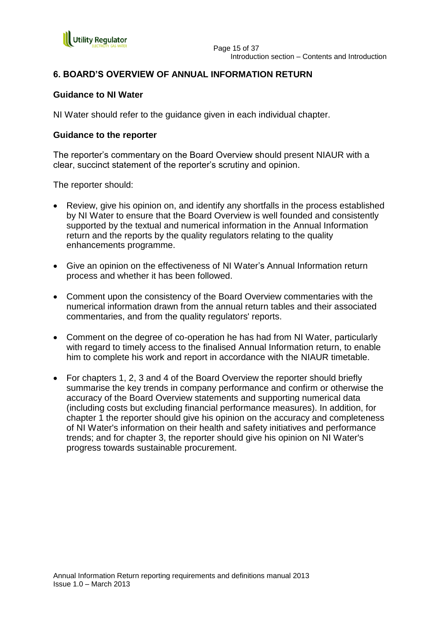

## **6. BOARD'S OVERVIEW OF ANNUAL INFORMATION RETURN**

### **Guidance to NI Water**

NI Water should refer to the guidance given in each individual chapter.

### **Guidance to the reporter**

The reporter"s commentary on the Board Overview should present NIAUR with a clear, succinct statement of the reporter's scrutiny and opinion.

The reporter should:

- Review, give his opinion on, and identify any shortfalls in the process established by NI Water to ensure that the Board Overview is well founded and consistently supported by the textual and numerical information in the Annual Information return and the reports by the quality regulators relating to the quality enhancements programme.
- Give an opinion on the effectiveness of NI Water"s Annual Information return process and whether it has been followed.
- Comment upon the consistency of the Board Overview commentaries with the numerical information drawn from the annual return tables and their associated commentaries, and from the quality regulators' reports.
- Comment on the degree of co-operation he has had from NI Water, particularly with regard to timely access to the finalised Annual Information return, to enable him to complete his work and report in accordance with the NIAUR timetable.
- For chapters 1, 2, 3 and 4 of the Board Overview the reporter should briefly summarise the key trends in company performance and confirm or otherwise the accuracy of the Board Overview statements and supporting numerical data (including costs but excluding financial performance measures). In addition, for chapter 1 the reporter should give his opinion on the accuracy and completeness of NI Water's information on their health and safety initiatives and performance trends; and for chapter 3, the reporter should give his opinion on NI Water's progress towards sustainable procurement.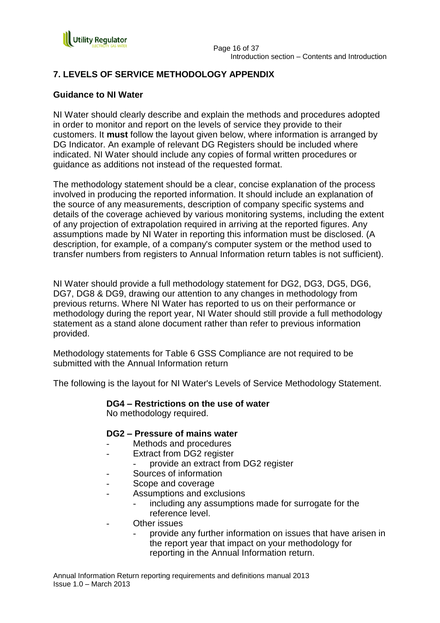

## **7. LEVELS OF SERVICE METHODOLOGY APPENDIX**

## **Guidance to NI Water**

NI Water should clearly describe and explain the methods and procedures adopted in order to monitor and report on the levels of service they provide to their customers. It **must** follow the layout given below, where information is arranged by DG Indicator. An example of relevant DG Registers should be included where indicated. NI Water should include any copies of formal written procedures or guidance as additions not instead of the requested format.

The methodology statement should be a clear, concise explanation of the process involved in producing the reported information. It should include an explanation of the source of any measurements, description of company specific systems and details of the coverage achieved by various monitoring systems, including the extent of any projection of extrapolation required in arriving at the reported figures. Any assumptions made by NI Water in reporting this information must be disclosed. (A description, for example, of a company's computer system or the method used to transfer numbers from registers to Annual Information return tables is not sufficient).

NI Water should provide a full methodology statement for DG2, DG3, DG5, DG6, DG7, DG8 & DG9, drawing our attention to any changes in methodology from previous returns. Where NI Water has reported to us on their performance or methodology during the report year, NI Water should still provide a full methodology statement as a stand alone document rather than refer to previous information provided.

Methodology statements for Table 6 GSS Compliance are not required to be submitted with the Annual Information return

The following is the layout for NI Water's Levels of Service Methodology Statement.

## **DG4 – Restrictions on the use of water**

No methodology required.

### **DG2 – Pressure of mains water**

- Methods and procedures
- Extract from DG2 register
	- provide an extract from DG2 register
- Sources of information
- Scope and coverage
- Assumptions and exclusions
	- including any assumptions made for surrogate for the reference level.
- **Other issues** 
	- provide any further information on issues that have arisen in the report year that impact on your methodology for reporting in the Annual Information return.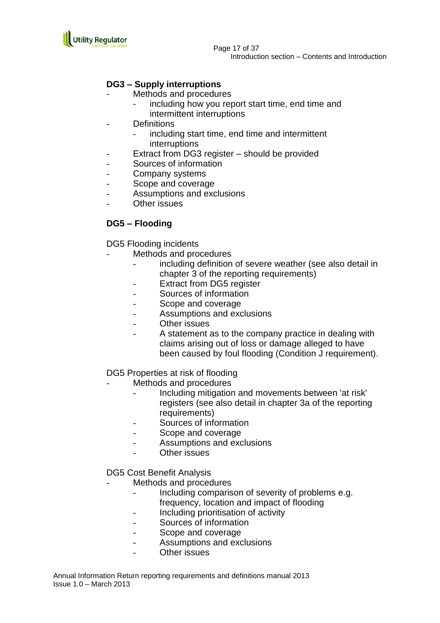

## **DG3 – Supply interruptions**

- Methods and procedures
	- including how you report start time, end time and intermittent interruptions
- **Definitions** 
	- including start time, end time and intermittent interruptions
- Extract from DG3 register should be provided
- Sources of information
- Company systems
- Scope and coverage
- Assumptions and exclusions
- **Other issues**

## **DG5 – Flooding**

DG5 Flooding incidents

- Methods and procedures
	- including definition of severe weather (see also detail in chapter 3 of the reporting requirements)
	- Extract from DG5 register
	- Sources of information
	- Scope and coverage
	- Assumptions and exclusions
	- **Other issues**
	- A statement as to the company practice in dealing with claims arising out of loss or damage alleged to have been caused by foul flooding (Condition J requirement).

DG5 Properties at risk of flooding

- Methods and procedures
	- Including mitigation and movements between 'at risk' registers (see also detail in chapter 3a of the reporting requirements)
	- Sources of information
	- Scope and coverage
	- Assumptions and exclusions
	- **Other issues**

DG5 Cost Benefit Analysis

- Methods and procedures
	- Including comparison of severity of problems e.g. frequency, location and impact of flooding
	- Including prioritisation of activity
	- Sources of information
	- Scope and coverage
	- Assumptions and exclusions
	- **Other issues**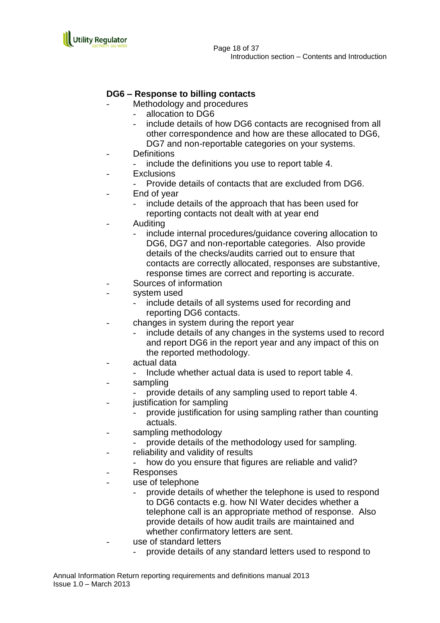

## **DG6 – Response to billing contacts**

- Methodology and procedures
	- allocation to DG6
	- include details of how DG6 contacts are recognised from all other correspondence and how are these allocated to DG6, DG7 and non-reportable categories on your systems.
- **Definitions** 
	- include the definitions you use to report table 4.
- **Exclusions** 
	- Provide details of contacts that are excluded from DG6.
- End of year
	- include details of the approach that has been used for reporting contacts not dealt with at year end
- Auditing
	- include internal procedures/guidance covering allocation to DG6, DG7 and non-reportable categories. Also provide details of the checks/audits carried out to ensure that contacts are correctly allocated, responses are substantive, response times are correct and reporting is accurate.
	- Sources of information
- system used
	- include details of all systems used for recording and reporting DG6 contacts.
	- changes in system during the report year
		- include details of any changes in the systems used to record and report DG6 in the report year and any impact of this on the reported methodology.
- actual data
	- Include whether actual data is used to report table 4.
- sampling
	- provide details of any sampling used to report table 4.
	- justification for sampling
		- provide justification for using sampling rather than counting actuals.
- sampling methodology
	- provide details of the methodology used for sampling.
	- reliability and validity of results
		- how do you ensure that figures are reliable and valid?
- **Responses**
- use of telephone
	- provide details of whether the telephone is used to respond to DG6 contacts e.g. how NI Water decides whether a telephone call is an appropriate method of response. Also provide details of how audit trails are maintained and whether confirmatory letters are sent.
- use of standard letters
	- provide details of any standard letters used to respond to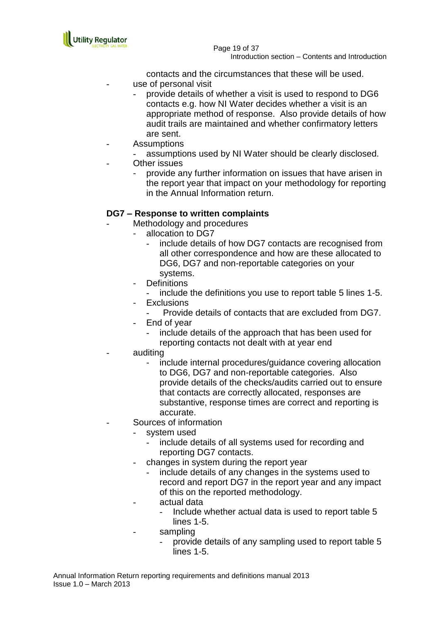

contacts and the circumstances that these will be used. use of personal visit

- provide details of whether a visit is used to respond to DG6 contacts e.g. how NI Water decides whether a visit is an appropriate method of response. Also provide details of how audit trails are maintained and whether confirmatory letters are sent.
- **Assumptions** 
	- assumptions used by NI Water should be clearly disclosed.
- **Other issues** 
	- provide any further information on issues that have arisen in the report year that impact on your methodology for reporting in the Annual Information return.

## **DG7 – Response to written complaints**

- Methodology and procedures
	- allocation to DG7
		- include details of how DG7 contacts are recognised from all other correspondence and how are these allocated to DG6, DG7 and non-reportable categories on your systems.
	- **Definitions** 
		- include the definitions you use to report table 5 lines 1-5.
	- **Exclusions** 
		- Provide details of contacts that are excluded from DG7.
	- End of year
		- include details of the approach that has been used for reporting contacts not dealt with at year end
- auditing
	- include internal procedures/guidance covering allocation to DG6, DG7 and non-reportable categories. Also provide details of the checks/audits carried out to ensure that contacts are correctly allocated, responses are substantive, response times are correct and reporting is accurate.
- Sources of information
	- system used
		- include details of all systems used for recording and reporting DG7 contacts.
	- changes in system during the report year
		- include details of any changes in the systems used to record and report DG7 in the report year and any impact of this on the reported methodology.
	- actual data
		- Include whether actual data is used to report table 5 lines 1-5.
	- sampling
		- provide details of any sampling used to report table 5 lines 1-5.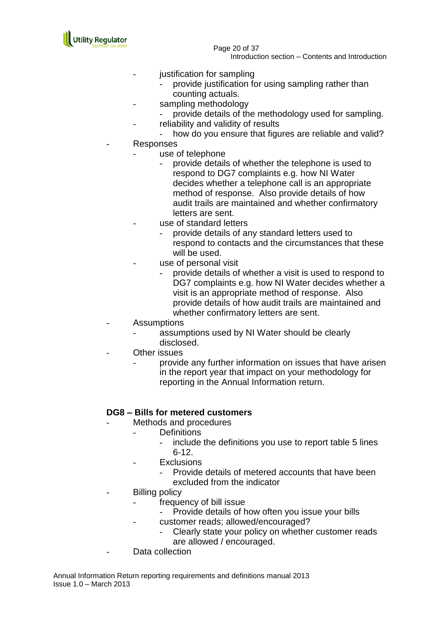

- justification for sampling
	- provide justification for using sampling rather than counting actuals.
- sampling methodology
	- provide details of the methodology used for sampling.
	- reliability and validity of results
- how do you ensure that figures are reliable and valid? **Responses**
- use of telephone
	- provide details of whether the telephone is used to respond to DG7 complaints e.g. how NI Water decides whether a telephone call is an appropriate method of response. Also provide details of how audit trails are maintained and whether confirmatory letters are sent.
	- use of standard letters
		- provide details of any standard letters used to respond to contacts and the circumstances that these will be used.
	- use of personal visit
		- provide details of whether a visit is used to respond to DG7 complaints e.g. how NI Water decides whether a visit is an appropriate method of response. Also provide details of how audit trails are maintained and whether confirmatory letters are sent.
- **Assumptions** 
	- assumptions used by NI Water should be clearly disclosed.
- **Other issues** 
	- provide any further information on issues that have arisen in the report year that impact on your methodology for reporting in the Annual Information return.

## **DG8 – Bills for metered customers**

- Methods and procedures
	- **Definitions** 
		- include the definitions you use to report table 5 lines 6-12.
	- **Exclusions** 
		- Provide details of metered accounts that have been excluded from the indicator
- **Billing policy** 
	- frequency of bill issue
		- Provide details of how often you issue your bills
	- customer reads; allowed/encouraged?
		- Clearly state your policy on whether customer reads are allowed / encouraged.
- Data collection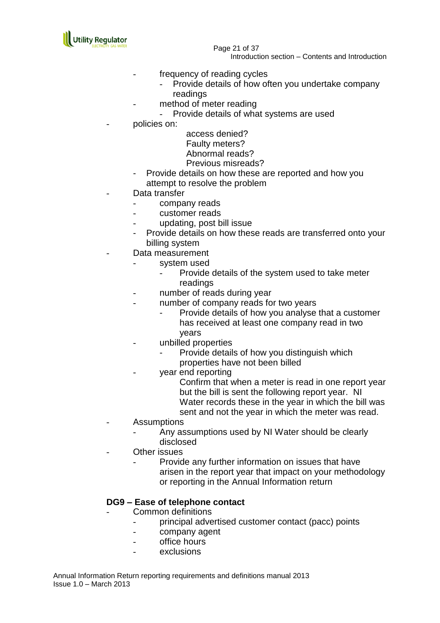

- frequency of reading cycles
	- Provide details of how often you undertake company readings
- method of meter reading
- Provide details of what systems are used
- policies on:
- access denied? Faulty meters? Abnormal reads?
- Previous misreads?
- Provide details on how these are reported and how you attempt to resolve the problem
- Data transfer
	- company reads
	- customer reads
	- updating, post bill issue
	- Provide details on how these reads are transferred onto your billing system
- Data measurement
	- system used
		- Provide details of the system used to take meter readings
	- number of reads during year
	- number of company reads for two years
		- Provide details of how you analyse that a customer has received at least one company read in two years
	- unbilled properties
		- Provide details of how you distinguish which properties have not been billed
	- year end reporting
		- Confirm that when a meter is read in one report year but the bill is sent the following report year. NI Water records these in the year in which the bill was sent and not the year in which the meter was read.
- **Assumptions** 
	- Any assumptions used by NI Water should be clearly disclosed
- **Other issues** 
	- Provide any further information on issues that have arisen in the report year that impact on your methodology or reporting in the Annual Information return

## **DG9 – Ease of telephone contact**

- Common definitions
	- principal advertised customer contact (pacc) points
	- company agent
	- office hours
	- exclusions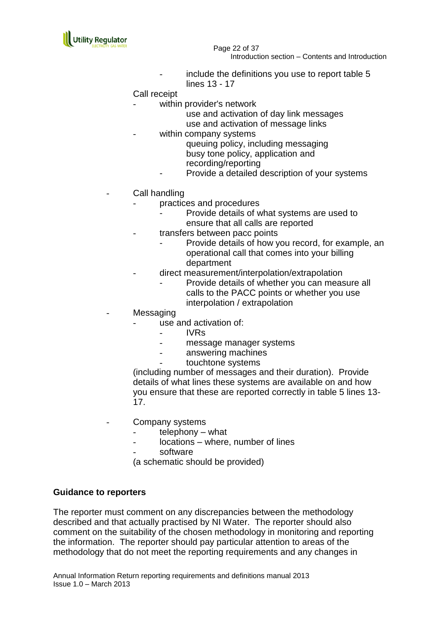

 Page 22 of 37 Introduction section – Contents and Introduction

include the definitions you use to report table 5 lines 13 - 17

Call receipt

- within provider's network
	- use and activation of day link messages use and activation of message links
- within company systems

queuing policy, including messaging busy tone policy, application and recording/reporting

- Provide a detailed description of your systems
- Call handling
	- practices and procedures
		- Provide details of what systems are used to ensure that all calls are reported
	- transfers between pacc points
		- Provide details of how you record, for example, an operational call that comes into your billing department
	- direct measurement/interpolation/extrapolation
		- Provide details of whether you can measure all calls to the PACC points or whether you use interpolation / extrapolation
- Messaging
	- use and activation of:
		- IVRs
		- message manager systems
		- answering machines
		- touchtone systems

(including number of messages and their duration). Provide details of what lines these systems are available on and how you ensure that these are reported correctly in table 5 lines 13- 17.

- Company systems
	- $t$ elephony what
	- locations where, number of lines
	- software

(a schematic should be provided)

### **Guidance to reporters**

The reporter must comment on any discrepancies between the methodology described and that actually practised by NI Water. The reporter should also comment on the suitability of the chosen methodology in monitoring and reporting the information. The reporter should pay particular attention to areas of the methodology that do not meet the reporting requirements and any changes in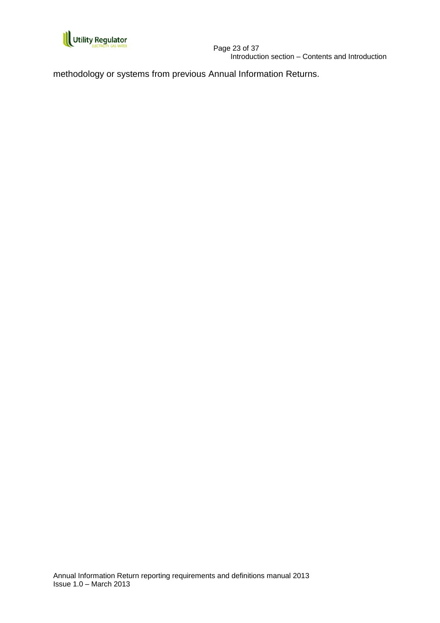

methodology or systems from previous Annual Information Returns.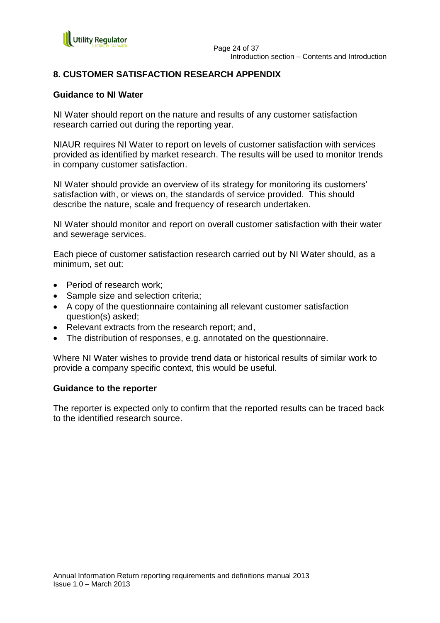

## **8. CUSTOMER SATISFACTION RESEARCH APPENDIX**

### **Guidance to NI Water**

NI Water should report on the nature and results of any customer satisfaction research carried out during the reporting year.

NIAUR requires NI Water to report on levels of customer satisfaction with services provided as identified by market research. The results will be used to monitor trends in company customer satisfaction.

NI Water should provide an overview of its strategy for monitoring its customers" satisfaction with, or views on, the standards of service provided. This should describe the nature, scale and frequency of research undertaken.

NI Water should monitor and report on overall customer satisfaction with their water and sewerage services.

Each piece of customer satisfaction research carried out by NI Water should, as a minimum, set out:

- Period of research work:
- Sample size and selection criteria;
- A copy of the questionnaire containing all relevant customer satisfaction question(s) asked;
- Relevant extracts from the research report; and,
- The distribution of responses, e.g. annotated on the questionnaire.

Where NI Water wishes to provide trend data or historical results of similar work to provide a company specific context, this would be useful.

#### **Guidance to the reporter**

The reporter is expected only to confirm that the reported results can be traced back to the identified research source.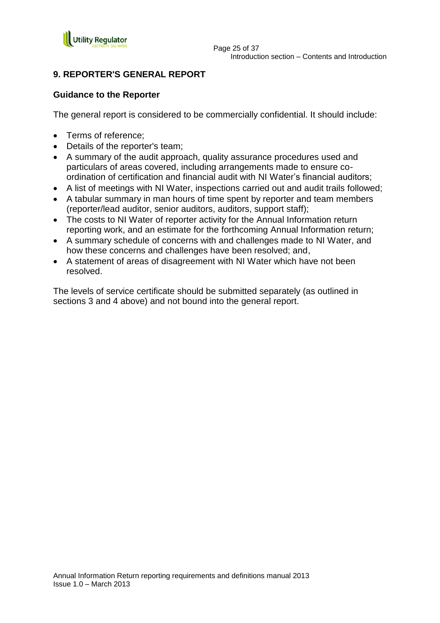

## **9. REPORTER'S GENERAL REPORT**

## **Guidance to the Reporter**

The general report is considered to be commercially confidential. It should include:

- Terms of reference:
- Details of the reporter's team:
- A summary of the audit approach, quality assurance procedures used and particulars of areas covered, including arrangements made to ensure coordination of certification and financial audit with NI Water"s financial auditors;
- A list of meetings with NI Water, inspections carried out and audit trails followed;
- A tabular summary in man hours of time spent by reporter and team members (reporter/lead auditor, senior auditors, auditors, support staff);
- The costs to NI Water of reporter activity for the Annual Information return reporting work, and an estimate for the forthcoming Annual Information return;
- A summary schedule of concerns with and challenges made to NI Water, and how these concerns and challenges have been resolved; and,
- A statement of areas of disagreement with NI Water which have not been resolved.

The levels of service certificate should be submitted separately (as outlined in sections 3 and 4 above) and not bound into the general report.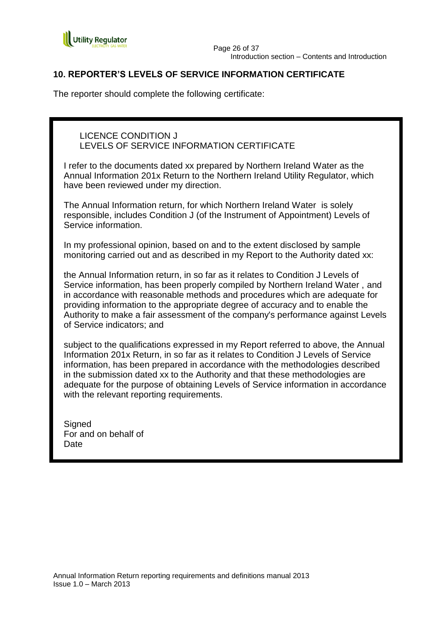

## **10. REPORTER'S LEVELS OF SERVICE INFORMATION CERTIFICATE**

The reporter should complete the following certificate:

LICENCE CONDITION J LEVELS OF SERVICE INFORMATION CERTIFICATE

I refer to the documents dated xx prepared by Northern Ireland Water as the Annual Information 201x Return to the Northern Ireland Utility Regulator, which have been reviewed under my direction.

The Annual Information return, for which Northern Ireland Water is solely responsible, includes Condition J (of the Instrument of Appointment) Levels of Service information.

In my professional opinion, based on and to the extent disclosed by sample monitoring carried out and as described in my Report to the Authority dated xx:

1. the Annual Information return, in so far as it relates to Condition J Levels of Service information, has been properly compiled by Northern Ireland Water , and in accordance with reasonable methods and procedures which are adequate for providing information to the appropriate degree of accuracy and to enable the Authority to make a fair assessment of the company's performance against Levels of Service indicators; and

2. subject to the qualifications expressed in my Report referred to above, the Annual Information 201x Return, in so far as it relates to Condition J Levels of Service information, has been prepared in accordance with the methodologies described in the submission dated xx to the Authority and that these methodologies are adequate for the purpose of obtaining Levels of Service information in accordance with the relevant reporting requirements.

**Signed** For and on behalf of **Date**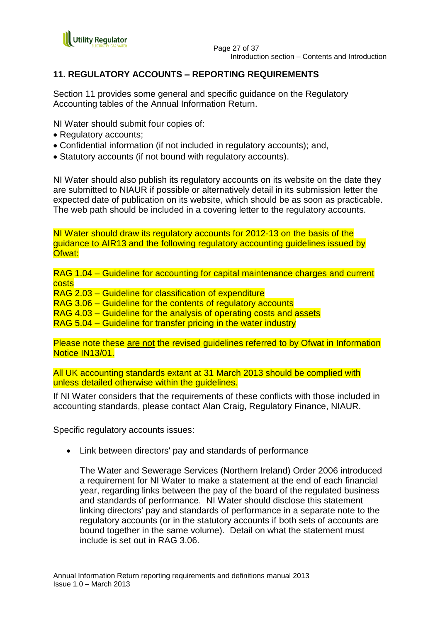

## **11. REGULATORY ACCOUNTS – REPORTING REQUIREMENTS**

Section 11 provides some general and specific guidance on the Regulatory Accounting tables of the Annual Information Return.

NI Water should submit four copies of:

- Regulatory accounts:
- Confidential information (if not included in regulatory accounts); and,
- Statutory accounts (if not bound with regulatory accounts).

NI Water should also publish its regulatory accounts on its website on the date they are submitted to NIAUR if possible or alternatively detail in its submission letter the expected date of publication on its website, which should be as soon as practicable. The web path should be included in a covering letter to the regulatory accounts.

NI Water should draw its regulatory accounts for 2012-13 on the basis of the guidance to AIR13 and the following regulatory accounting guidelines issued by Ofwat:

RAG 1.04 – Guideline for accounting for capital maintenance charges and current costs

RAG 2.03 – Guideline for classification of expenditure

RAG 3.06 – Guideline for the contents of regulatory accounts

RAG 4.03 – Guideline for the analysis of operating costs and assets

RAG 5.04 – Guideline for transfer pricing in the water industry

Please note these are not the revised guidelines referred to by Ofwat in Information Notice IN13/01.

All UK accounting standards extant at 31 March 2013 should be complied with unless detailed otherwise within the guidelines.

If NI Water considers that the requirements of these conflicts with those included in accounting standards, please contact Alan Craig, Regulatory Finance, NIAUR.

Specific regulatory accounts issues:

Link between directors' pay and standards of performance

The Water and Sewerage Services (Northern Ireland) Order 2006 introduced a requirement for NI Water to make a statement at the end of each financial year, regarding links between the pay of the board of the regulated business and standards of performance. NI Water should disclose this statement linking directors' pay and standards of performance in a separate note to the regulatory accounts (or in the statutory accounts if both sets of accounts are bound together in the same volume). Detail on what the statement must include is set out in RAG 3.06.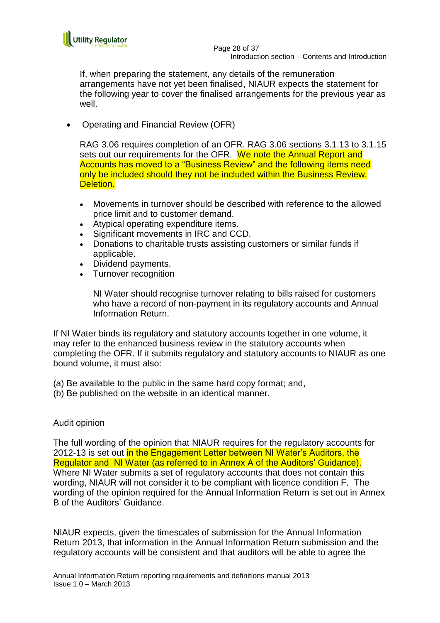

 Page 28 of 37 Introduction section – Contents and Introduction

If, when preparing the statement, any details of the remuneration arrangements have not yet been finalised, NIAUR expects the statement for the following year to cover the finalised arrangements for the previous year as well.

• Operating and Financial Review (OFR)

RAG 3.06 requires completion of an OFR. RAG 3.06 sections 3.1.13 to 3.1.15 sets out our requirements for the OFR. We note the Annual Report and Accounts has moved to a "Business Review" and the following items need only be included should they not be included within the Business Review. Deletion.

- Movements in turnover should be described with reference to the allowed price limit and to customer demand.
- Atypical operating expenditure items.
- Significant movements in IRC and CCD.
- Donations to charitable trusts assisting customers or similar funds if applicable.
- Dividend payments.
- Turnover recognition

NI Water should recognise turnover relating to bills raised for customers who have a record of non-payment in its regulatory accounts and Annual Information Return.

If NI Water binds its regulatory and statutory accounts together in one volume, it may refer to the enhanced business review in the statutory accounts when completing the OFR. If it submits regulatory and statutory accounts to NIAUR as one bound volume, it must also:

- (a) Be available to the public in the same hard copy format; and,
- (b) Be published on the website in an identical manner.

### Audit opinion

The full wording of the opinion that NIAUR requires for the regulatory accounts for 2012-13 is set out in the Engagement Letter between NI Water's Auditors, the Regulator and NI Water (as referred to in Annex A of the Auditors' Guidance). Where NI Water submits a set of regulatory accounts that does not contain this wording, NIAUR will not consider it to be compliant with licence condition F. The wording of the opinion required for the Annual Information Return is set out in Annex B of the Auditors' Guidance.

NIAUR expects, given the timescales of submission for the Annual Information Return 2013, that information in the Annual Information Return submission and the regulatory accounts will be consistent and that auditors will be able to agree the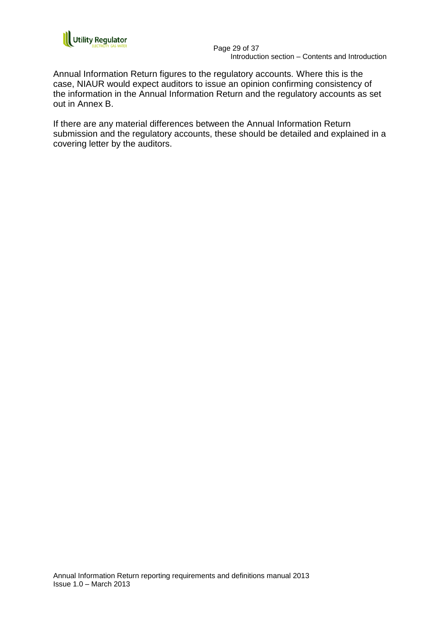

 Page 29 of 37 Introduction section – Contents and Introduction

Annual Information Return figures to the regulatory accounts. Where this is the case, NIAUR would expect auditors to issue an opinion confirming consistency of the information in the Annual Information Return and the regulatory accounts as set out in Annex B.

If there are any material differences between the Annual Information Return submission and the regulatory accounts, these should be detailed and explained in a covering letter by the auditors.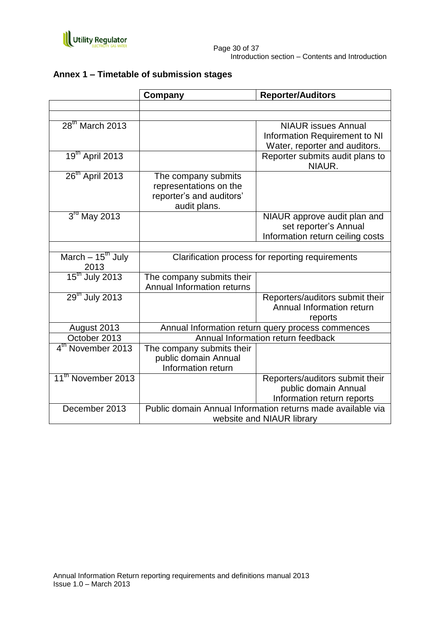

|  |  | Annex 1 - Timetable of submission stages |  |
|--|--|------------------------------------------|--|
|--|--|------------------------------------------|--|

|                                        | Company                    | <b>Reporter/Auditors</b>                                    |
|----------------------------------------|----------------------------|-------------------------------------------------------------|
|                                        |                            |                                                             |
|                                        |                            |                                                             |
| $28th$ March 2013                      |                            | <b>NIAUR</b> issues Annual                                  |
|                                        |                            | Information Requirement to NI                               |
|                                        |                            | Water, reporter and auditors.                               |
| 19 <sup>th</sup> April 2013            |                            | Reporter submits audit plans to<br>NIAUR.                   |
| $26th$ April 2013                      | The company submits        |                                                             |
|                                        | representations on the     |                                                             |
|                                        | reporter's and auditors'   |                                                             |
|                                        | audit plans.               |                                                             |
| $3rd$ May 2013                         |                            | NIAUR approve audit plan and                                |
|                                        |                            | set reporter's Annual                                       |
|                                        |                            | Information return ceiling costs                            |
|                                        |                            |                                                             |
| March $-15$ <sup>th</sup> July<br>2013 |                            | Clarification process for reporting requirements            |
| $15^{\text{th}}$ July 2013             | The company submits their  |                                                             |
|                                        | Annual Information returns |                                                             |
| 29 <sup>th</sup> July 2013             |                            | Reporters/auditors submit their                             |
|                                        |                            | Annual Information return                                   |
|                                        |                            | reports                                                     |
| August 2013                            |                            | Annual Information return query process commences           |
| October 2013                           |                            | Annual Information return feedback                          |
| 4 <sup>th</sup> November 2013          | The company submits their  |                                                             |
|                                        | public domain Annual       |                                                             |
|                                        | Information return         |                                                             |
| 11 <sup>th</sup> November 2013         |                            | Reporters/auditors submit their                             |
|                                        |                            | public domain Annual                                        |
|                                        |                            | Information return reports                                  |
| December 2013                          |                            | Public domain Annual Information returns made available via |
|                                        |                            | website and NIAUR library                                   |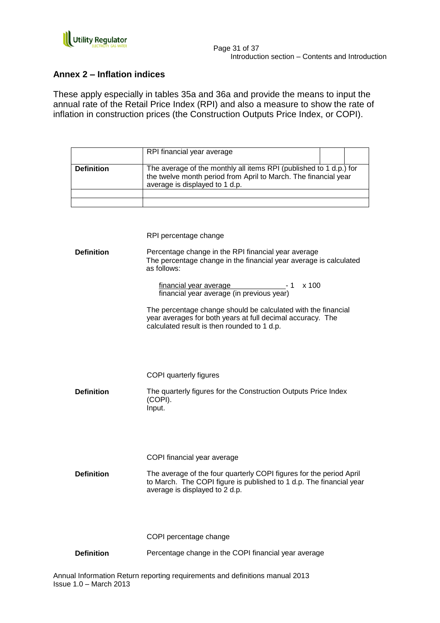

## **Annex 2 – Inflation indices**

These apply especially in tables 35a and 36a and provide the means to input the annual rate of the Retail Price Index (RPI) and also a measure to show the rate of inflation in construction prices (the Construction Outputs Price Index, or COPI).

|                   | RPI financial year average                                                                                                                                              |  |  |
|-------------------|-------------------------------------------------------------------------------------------------------------------------------------------------------------------------|--|--|
| <b>Definition</b> | The average of the monthly all items RPI (published to 1 d.p.) for<br>the twelve month period from April to March. The financial year<br>average is displayed to 1 d.p. |  |  |
|                   |                                                                                                                                                                         |  |  |
|                   |                                                                                                                                                                         |  |  |

|                   | RPI percentage change                                                                                                                                                        |
|-------------------|------------------------------------------------------------------------------------------------------------------------------------------------------------------------------|
| <b>Definition</b> | Percentage change in the RPI financial year average<br>The percentage change in the financial year average is calculated<br>as follows:                                      |
|                   | financial year average Theorem - 1<br>x 100<br>financial year average (in previous year)                                                                                     |
|                   | The percentage change should be calculated with the financial<br>year averages for both years at full decimal accuracy. The<br>calculated result is then rounded to 1 d.p.   |
|                   |                                                                                                                                                                              |
|                   | COPI quarterly figures                                                                                                                                                       |
| <b>Definition</b> | The quarterly figures for the Construction Outputs Price Index<br>(COPI).<br>Input.                                                                                          |
|                   |                                                                                                                                                                              |
|                   | COPI financial year average                                                                                                                                                  |
| <b>Definition</b> | The average of the four quarterly COPI figures for the period April<br>to March. The COPI figure is published to 1 d.p. The financial year<br>average is displayed to 2 d.p. |
|                   |                                                                                                                                                                              |
|                   | COPI percentage change                                                                                                                                                       |
| <b>Definition</b> | Percentage change in the COPI financial year average                                                                                                                         |
|                   | Annual Information Return reporting requirements and definitions manual 2013                                                                                                 |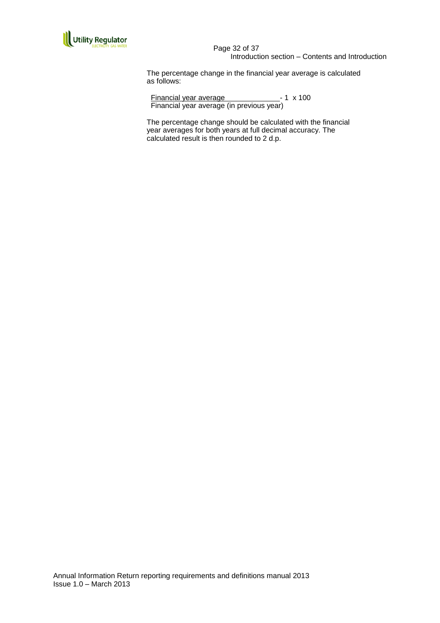

 Page 32 of 37 Introduction section – Contents and Introduction

The percentage change in the financial year average is calculated as follows:

Financial year average \_\_\_\_\_\_\_\_\_\_\_\_\_\_\_\_\_\_\_\_\_- 1 x 100 Financial year average (in previous year)

The percentage change should be calculated with the financial year averages for both years at full decimal accuracy. The calculated result is then rounded to 2 d.p.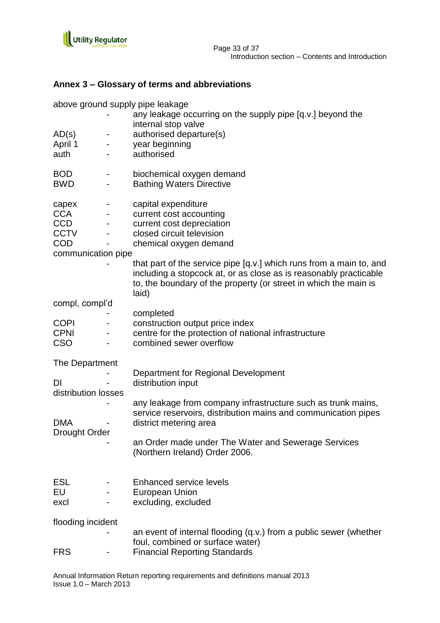

## **Annex 3 – Glossary of terms and abbreviations**

| above ground supply pipe leakage |                |                                                                                                                                                                                                                       |  |
|----------------------------------|----------------|-----------------------------------------------------------------------------------------------------------------------------------------------------------------------------------------------------------------------|--|
|                                  |                | any leakage occurring on the supply pipe [q.v.] beyond the<br>internal stop valve                                                                                                                                     |  |
| AD(s)                            | -              | authorised departure(s)                                                                                                                                                                                               |  |
| April 1                          |                | year beginning                                                                                                                                                                                                        |  |
| auth                             |                | authorised                                                                                                                                                                                                            |  |
| <b>BOD</b>                       | -              | biochemical oxygen demand                                                                                                                                                                                             |  |
| <b>BWD</b>                       |                | <b>Bathing Waters Directive</b>                                                                                                                                                                                       |  |
| capex                            |                | capital expenditure                                                                                                                                                                                                   |  |
| <b>CCA</b>                       | ۰              | current cost accounting                                                                                                                                                                                               |  |
| <b>CCD</b>                       |                | current cost depreciation                                                                                                                                                                                             |  |
| <b>CCTV</b><br><b>COD</b>        |                | closed circuit television                                                                                                                                                                                             |  |
| communication pipe               |                | chemical oxygen demand                                                                                                                                                                                                |  |
|                                  |                | that part of the service pipe [q.v.] which runs from a main to, and<br>including a stopcock at, or as close as is reasonably practicable<br>to, the boundary of the property (or street in which the main is<br>laid) |  |
| compl, compl'd                   |                |                                                                                                                                                                                                                       |  |
| <b>COPI</b>                      | $\blacksquare$ | completed<br>construction output price index                                                                                                                                                                          |  |
| <b>CPNI</b>                      | $\blacksquare$ | centre for the protection of national infrastructure                                                                                                                                                                  |  |
| <b>CSO</b>                       |                | combined sewer overflow                                                                                                                                                                                               |  |
| The Department                   |                |                                                                                                                                                                                                                       |  |
|                                  |                | Department for Regional Development                                                                                                                                                                                   |  |
| DI                               |                | distribution input                                                                                                                                                                                                    |  |
| distribution losses              |                | any leakage from company infrastructure such as trunk mains,                                                                                                                                                          |  |
|                                  |                | service reservoirs, distribution mains and communication pipes                                                                                                                                                        |  |
| <b>DMA</b>                       |                | district metering area                                                                                                                                                                                                |  |
| <b>Drought Order</b>             |                |                                                                                                                                                                                                                       |  |
|                                  |                | an Order made under The Water and Sewerage Services<br>(Northern Ireland) Order 2006.                                                                                                                                 |  |
| ESL                              |                | <b>Enhanced service levels</b>                                                                                                                                                                                        |  |
| EU                               |                | European Union                                                                                                                                                                                                        |  |
| excl                             |                | excluding, excluded                                                                                                                                                                                                   |  |
| flooding incident                |                |                                                                                                                                                                                                                       |  |
|                                  |                | an event of internal flooding (q.v.) from a public sewer (whether                                                                                                                                                     |  |
| <b>FRS</b>                       |                | foul, combined or surface water)<br><b>Financial Reporting Standards</b>                                                                                                                                              |  |
|                                  |                |                                                                                                                                                                                                                       |  |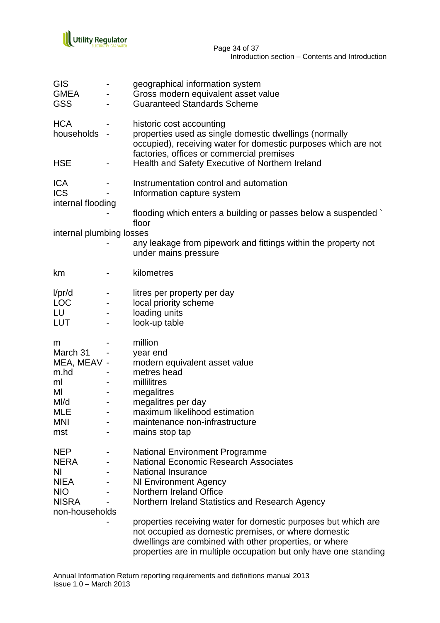

| <b>GIS</b><br><b>GMEA</b><br><b>GSS</b>                                                        |                               | geographical information system<br>Gross modern equivalent asset value<br><b>Guaranteed Standards Scheme</b>                                                                                                                                                                                                                                                                                                                                                                             |
|------------------------------------------------------------------------------------------------|-------------------------------|------------------------------------------------------------------------------------------------------------------------------------------------------------------------------------------------------------------------------------------------------------------------------------------------------------------------------------------------------------------------------------------------------------------------------------------------------------------------------------------|
| <b>HCA</b><br>households                                                                       |                               | historic cost accounting<br>properties used as single domestic dwellings (normally<br>occupied), receiving water for domestic purposes which are not<br>factories, offices or commercial premises                                                                                                                                                                                                                                                                                        |
| <b>HSE</b>                                                                                     |                               | Health and Safety Executive of Northern Ireland                                                                                                                                                                                                                                                                                                                                                                                                                                          |
| <b>ICA</b><br><b>ICS</b><br>internal flooding                                                  |                               | Instrumentation control and automation<br>Information capture system                                                                                                                                                                                                                                                                                                                                                                                                                     |
|                                                                                                |                               | flooding which enters a building or passes below a suspended<br>floor                                                                                                                                                                                                                                                                                                                                                                                                                    |
| internal plumbing losses                                                                       |                               |                                                                                                                                                                                                                                                                                                                                                                                                                                                                                          |
|                                                                                                |                               | any leakage from pipework and fittings within the property not<br>under mains pressure                                                                                                                                                                                                                                                                                                                                                                                                   |
| km                                                                                             |                               | kilometres                                                                                                                                                                                                                                                                                                                                                                                                                                                                               |
| I/pr/d<br><b>LOC</b><br>LU<br><b>LUT</b>                                                       | -                             | litres per property per day<br>local priority scheme<br>loading units<br>look-up table                                                                                                                                                                                                                                                                                                                                                                                                   |
| m<br>March 31<br>MEA, MEAV -<br>m.hd<br>ml<br>MI<br>MI/d<br><b>MLE</b><br><b>MNI</b><br>mst    | $\overline{\phantom{a}}$<br>- | million<br>year end<br>modern equivalent asset value<br>metres head<br>millilitres<br>megalitres<br>megalitres per day<br>maximum likelihood estimation<br>maintenance non-infrastructure<br>mains stop tap                                                                                                                                                                                                                                                                              |
| <b>NEP</b><br><b>NERA</b><br>ΝI<br><b>NIEA</b><br><b>NIO</b><br><b>NISRA</b><br>non-households |                               | <b>National Environment Programme</b><br><b>National Economic Research Associates</b><br><b>National Insurance</b><br><b>NI Environment Agency</b><br>Northern Ireland Office<br>Northern Ireland Statistics and Research Agency<br>properties receiving water for domestic purposes but which are<br>not occupied as domestic premises, or where domestic<br>dwellings are combined with other properties, or where<br>properties are in multiple occupation but only have one standing |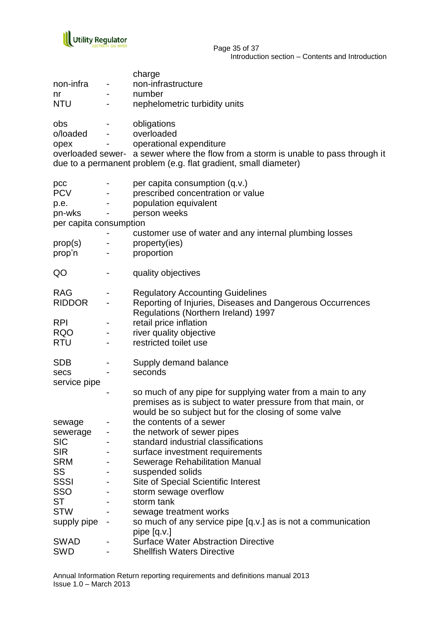

 Page 35 of 37 Introduction section – Contents and Introduction

| non-infra<br>nr<br><b>NTU</b>                                 | ۰                                                   | charge<br>non-infrastructure<br>number<br>nephelometric turbidity units                                                                                                                                       |
|---------------------------------------------------------------|-----------------------------------------------------|---------------------------------------------------------------------------------------------------------------------------------------------------------------------------------------------------------------|
| obs<br>o/loaded<br>opex                                       | $\sim 100$                                          | obligations<br>overloaded<br>operational expenditure<br>overloaded sewer- a sewer where the flow from a storm is unable to pass through it<br>due to a permanent problem (e.g. flat gradient, small diameter) |
| pcc<br><b>PCV</b><br>p.e.<br>pn-wks<br>per capita consumption | $\overline{\phantom{a}}$<br>$\sim 100$ km s $^{-1}$ | per capita consumption (q.v.)<br>prescribed concentration or value<br>population equivalent<br>person weeks                                                                                                   |
| prop(s)<br>prop'n                                             | $\blacksquare$                                      | customer use of water and any internal plumbing losses<br>property(ies)<br>proportion                                                                                                                         |
| QO                                                            |                                                     | quality objectives                                                                                                                                                                                            |
| <b>RAG</b><br><b>RIDDOR</b>                                   | -<br>$\blacksquare$                                 | <b>Regulatory Accounting Guidelines</b><br>Reporting of Injuries, Diseases and Dangerous Occurrences<br>Regulations (Northern Ireland) 1997                                                                   |
| <b>RPI</b><br><b>RQO</b><br><b>RTU</b>                        | -<br>-                                              | retail price inflation<br>river quality objective<br>restricted toilet use                                                                                                                                    |
| <b>SDB</b><br>secs<br>service pipe                            | $\blacksquare$                                      | Supply demand balance<br>seconds                                                                                                                                                                              |
|                                                               |                                                     | so much of any pipe for supplying water from a main to any<br>premises as is subject to water pressure from that main, or                                                                                     |
| sewage                                                        |                                                     | would be so subject but for the closing of some valve<br>the contents of a sewer                                                                                                                              |
| sewerage<br><b>SIC</b><br><b>SIR</b>                          |                                                     | the network of sewer pipes<br>standard industrial classifications<br>surface investment requirements                                                                                                          |
| <b>SRM</b><br>SS                                              |                                                     | <b>Sewerage Rehabilitation Manual</b><br>suspended solids                                                                                                                                                     |
| <b>SSSI</b><br>SSO                                            |                                                     | Site of Special Scientific Interest<br>storm sewage overflow                                                                                                                                                  |
| ST                                                            |                                                     | storm tank                                                                                                                                                                                                    |
| <b>STW</b><br>supply pipe                                     |                                                     | sewage treatment works<br>so much of any service pipe [q.v.] as is not a communication                                                                                                                        |
| <b>SWAD</b>                                                   |                                                     | pipe [q.v.]<br><b>Surface Water Abstraction Directive</b>                                                                                                                                                     |
| <b>SWD</b>                                                    |                                                     | <b>Shellfish Waters Directive</b>                                                                                                                                                                             |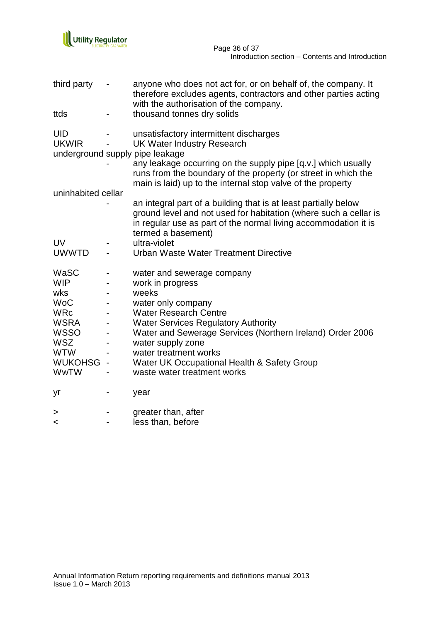

| third party                |                              | anyone who does not act for, or on behalf of, the company. It<br>therefore excludes agents, contractors and other parties acting<br>with the authorisation of the company.                                                   |
|----------------------------|------------------------------|------------------------------------------------------------------------------------------------------------------------------------------------------------------------------------------------------------------------------|
| ttds                       |                              | thousand tonnes dry solids                                                                                                                                                                                                   |
| <b>UID</b><br><b>UKWIR</b> |                              | unsatisfactory intermittent discharges<br><b>UK Water Industry Research</b><br>underground supply pipe leakage                                                                                                               |
|                            |                              | any leakage occurring on the supply pipe [q.v.] which usually<br>runs from the boundary of the property (or street in which the<br>main is laid) up to the internal stop valve of the property                               |
| uninhabited cellar         |                              |                                                                                                                                                                                                                              |
|                            |                              | an integral part of a building that is at least partially below<br>ground level and not used for habitation (where such a cellar is<br>in regular use as part of the normal living accommodation it is<br>termed a basement) |
| <b>UV</b>                  |                              | ultra-violet                                                                                                                                                                                                                 |
| <b>UWWTD</b>               | $\blacksquare$               | Urban Waste Water Treatment Directive                                                                                                                                                                                        |
| WaSC                       | -                            | water and sewerage company                                                                                                                                                                                                   |
| <b>WIP</b>                 |                              | work in progress                                                                                                                                                                                                             |
| wks                        |                              | weeks                                                                                                                                                                                                                        |
| <b>WoC</b>                 |                              | water only company                                                                                                                                                                                                           |
| <b>WRc</b>                 |                              | <b>Water Research Centre</b>                                                                                                                                                                                                 |
| <b>WSRA</b>                | $\qquad \qquad \blacksquare$ | <b>Water Services Regulatory Authority</b>                                                                                                                                                                                   |
| <b>WSSO</b>                | $\overline{\phantom{a}}$     | Water and Sewerage Services (Northern Ireland) Order 2006                                                                                                                                                                    |
| <b>WSZ</b>                 |                              | water supply zone                                                                                                                                                                                                            |
| <b>WTW</b>                 |                              | water treatment works                                                                                                                                                                                                        |
| WUKOHSG -                  |                              | Water UK Occupational Health & Safety Group                                                                                                                                                                                  |
| WwTW                       |                              | waste water treatment works                                                                                                                                                                                                  |
| yr                         |                              | year                                                                                                                                                                                                                         |
| >                          |                              | greater than, after                                                                                                                                                                                                          |
| ≺                          |                              | less than, before                                                                                                                                                                                                            |